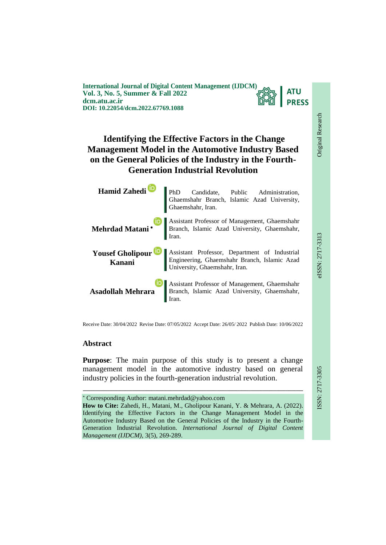

# **Identifying the Effective Factors in the Change Management Model in the Automotive Industry Based on the General Policies of the Industry in the Fourth-Generation Industrial Revolution**

| Hamid Zahedi<br>PhD Candidate, Public Administration,<br>Ghaemshahr Branch, Islamic Azad University,<br>Ghaemshahr, Iran.                 |
|-------------------------------------------------------------------------------------------------------------------------------------------|
| Mehrdad Matani* Branch, Islamic Azad University, Ghaemshahr, Islamic Azad University, Ghaemshahr,                                         |
| Yousef Gholipour Desistant Professor, Department of Industrial Engineering, Ghaemshahr Branch, Islamic Azad University, Ghaemshahr, Iran. |
| <b>Assistant Professor of Management, Ghaemshahr</b><br><b>Asadollah Mehrara</b> Branch, Islamic Azad University, Ghaemshahr,             |

Receive Date: 30/04/2022 Revise Date: 07/05/2022 Accept Date: 26/05/ 2022 Publish Date: 10/06/2022

# **Abstract**

**Purpose**: The main purpose of this study is to present a change management model in the automotive industry based on general industry policies in the fourth-generation industrial revolution.

 Corresponding Author: matani.mehrdad@yahoo.com **How to Cite:** Zahedi, H., Matani, M., Gholipour Kanani, Y. & Mehrara, A. (2022). Identifying the Effective Factors in the Change Management Model in the Automotive Industry Based on the General Policies of the Industry in the Fourth-Generation Industrial Revolution. *International Journal of Digital Content* 

*Management (IJDCM)*, 3(5), 269-289.

ـــــــــــــــــــــــــــــــــــــــــــــــــــــــــــــــــــــــــــــــــــــــــــــــــــــــــــــــــــــــــــــ

**EIEE-717-3313**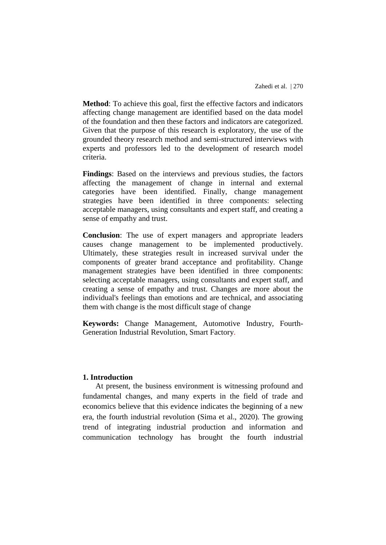**Method**: To achieve this goal, first the effective factors and indicators affecting change management are identified based on the data model of the foundation and then these factors and indicators are categorized. Given that the purpose of this research is exploratory, the use of the grounded theory research method and semi-structured interviews with experts and professors led to the development of research model criteria.

**Findings**: Based on the interviews and previous studies, the factors affecting the management of change in internal and external categories have been identified. Finally, change management strategies have been identified in three components: selecting acceptable managers, using consultants and expert staff, and creating a sense of empathy and trust.

**Conclusion**: The use of expert managers and appropriate leaders causes change management to be implemented productively. Ultimately, these strategies result in increased survival under the components of greater brand acceptance and profitability. Change management strategies have been identified in three components: selecting acceptable managers, using consultants and expert staff, and creating a sense of empathy and trust. Changes are more about the individual's feelings than emotions and are technical, and associating them with change is the most difficult stage of change

**Keywords:** Change Management, Automotive Industry, Fourth-Generation Industrial Revolution, Smart Factory.

### **1. Introduction**

At present, the business environment is witnessing profound and fundamental changes, and many experts in the field of trade and economics believe that this evidence indicates the beginning of a new era, the fourth industrial revolution (Sima et al., 2020). The growing trend of integrating industrial production and information and communication technology has brought the fourth industrial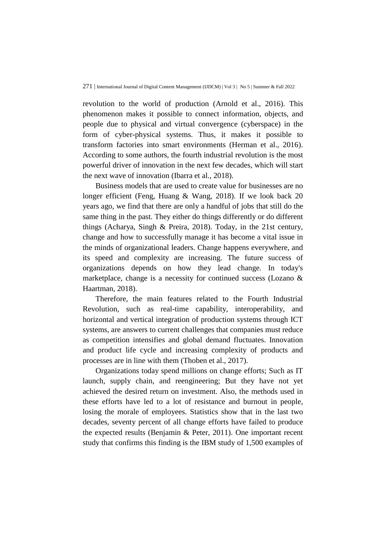revolution to the world of production (Arnold et al., 2016). This phenomenon makes it possible to connect information, objects, and people due to physical and virtual convergence (cyberspace) in the form of cyber-physical systems. Thus, it makes it possible to transform factories into smart environments (Herman et al., 2016). According to some authors, the fourth industrial revolution is the most powerful driver of innovation in the next few decades, which will start the next wave of innovation (Ibarra et al., 2018).

Business models that are used to create value for businesses are no longer efficient (Feng, Huang & Wang, 2018). If we look back 20 years ago, we find that there are only a handful of jobs that still do the same thing in the past. They either do things differently or do different things (Acharya, Singh & Preira, 2018). Today, in the 21st century, change and how to successfully manage it has become a vital issue in the minds of organizational leaders. Change happens everywhere, and its speed and complexity are increasing. The future success of organizations depends on how they lead change. In today's marketplace, change is a necessity for continued success (Lozano & Haartman, 2018).

Therefore, the main features related to the Fourth Industrial Revolution, such as real-time capability, interoperability, and horizontal and vertical integration of production systems through ICT systems, are answers to current challenges that companies must reduce as competition intensifies and global demand fluctuates. Innovation and product life cycle and increasing complexity of products and processes are in line with them (Thoben et al., 2017).

Organizations today spend millions on change efforts; Such as IT launch, supply chain, and reengineering; But they have not yet achieved the desired return on investment. Also, the methods used in these efforts have led to a lot of resistance and burnout in people, losing the morale of employees. Statistics show that in the last two decades, seventy percent of all change efforts have failed to produce the expected results (Benjamin & Peter, 2011). One important recent study that confirms this finding is the IBM study of 1,500 examples of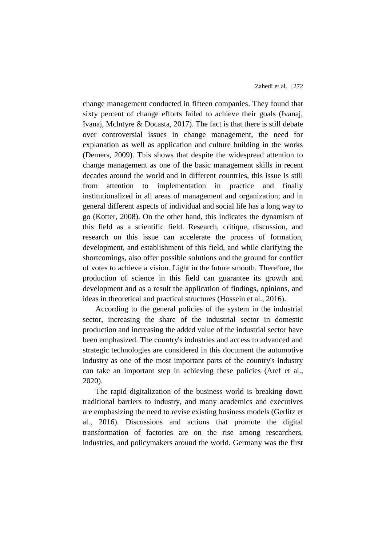change management conducted in fifteen companies. They found that sixty percent of change efforts failed to achieve their goals (Ivanaj, Ivanaj, Mclntyre & Docasta, 2017). The fact is that there is still debate over controversial issues in change management, the need for explanation as well as application and culture building in the works (Demers, 2009). This shows that despite the widespread attention to change management as one of the basic management skills in recent decades around the world and in different countries, this issue is still from attention to implementation in practice and finally institutionalized in all areas of management and organization; and in general different aspects of individual and social life has a long way to go (Kotter, 2008). On the other hand, this indicates the dynamism of this field as a scientific field. Research, critique, discussion, and research on this issue can accelerate the process of formation, development, and establishment of this field, and while clarifying the shortcomings, also offer possible solutions and the ground for conflict of votes to achieve a vision. Light in the future smooth. Therefore, the production of science in this field can guarantee its growth and development and as a result the application of findings, opinions, and ideas in theoretical and practical structures (Hossein et al., 2016).

According to the general policies of the system in the industrial sector, increasing the share of the industrial sector in domestic production and increasing the added value of the industrial sector have been emphasized. The country's industries and access to advanced and strategic technologies are considered in this document the automotive industry as one of the most important parts of the country's industry can take an important step in achieving these policies (Aref et al., 2020).

The rapid digitalization of the business world is breaking down traditional barriers to industry, and many academics and executives are emphasizing the need to revise existing business models (Gerlitz et al., 2016). Discussions and actions that promote the digital transformation of factories are on the rise among researchers, industries, and policymakers around the world. Germany was the first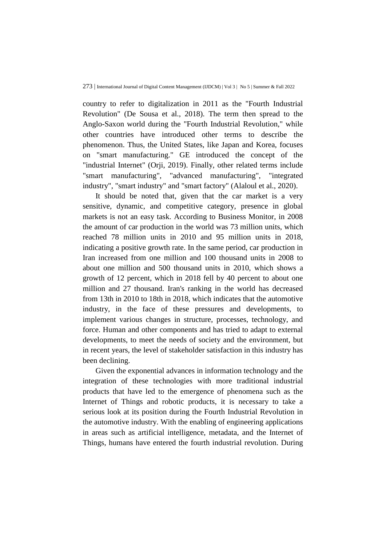country to refer to digitalization in 2011 as the "Fourth Industrial Revolution" (De Sousa et al., 2018). The term then spread to the Anglo-Saxon world during the "Fourth Industrial Revolution," while other countries have introduced other terms to describe the phenomenon. Thus, the United States, like Japan and Korea, focuses on "smart manufacturing." GE introduced the concept of the "industrial Internet" (Orji, 2019). Finally, other related terms include "smart manufacturing", "advanced manufacturing", "integrated industry", "smart industry" and "smart factory" (Alaloul et al., 2020).

It should be noted that, given that the car market is a very sensitive, dynamic, and competitive category, presence in global markets is not an easy task. According to Business Monitor, in 2008 the amount of car production in the world was 73 million units, which reached 78 million units in 2010 and 95 million units in 2018, indicating a positive growth rate. In the same period, car production in Iran increased from one million and 100 thousand units in 2008 to about one million and 500 thousand units in 2010, which shows a growth of 12 percent, which in 2018 fell by 40 percent to about one million and 27 thousand. Iran's ranking in the world has decreased from 13th in 2010 to 18th in 2018, which indicates that the automotive industry, in the face of these pressures and developments, to implement various changes in structure, processes, technology, and force. Human and other components and has tried to adapt to external developments, to meet the needs of society and the environment, but in recent years, the level of stakeholder satisfaction in this industry has been declining.

Given the exponential advances in information technology and the integration of these technologies with more traditional industrial products that have led to the emergence of phenomena such as the Internet of Things and robotic products, it is necessary to take a serious look at its position during the Fourth Industrial Revolution in the automotive industry. With the enabling of engineering applications in areas such as artificial intelligence, metadata, and the Internet of Things, humans have entered the fourth industrial revolution. During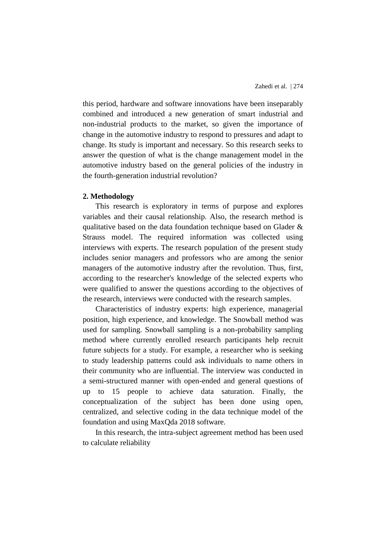this period, hardware and software innovations have been inseparably combined and introduced a new generation of smart industrial and non-industrial products to the market, so given the importance of change in the automotive industry to respond to pressures and adapt to change. Its study is important and necessary. So this research seeks to answer the question of what is the change management model in the automotive industry based on the general policies of the industry in the fourth-generation industrial revolution?

#### **2. Methodology**

This research is exploratory in terms of purpose and explores variables and their causal relationship. Also, the research method is qualitative based on the data foundation technique based on Glader & Strauss model. The required information was collected using interviews with experts. The research population of the present study includes senior managers and professors who are among the senior managers of the automotive industry after the revolution. Thus, first, according to the researcher's knowledge of the selected experts who were qualified to answer the questions according to the objectives of the research, interviews were conducted with the research samples.

Characteristics of industry experts: high experience, managerial position, high experience, and knowledge. The Snowball method was used for sampling. Snowball sampling is a non-probability sampling method where currently enrolled research participants help recruit future subjects for a study. For example, a researcher who is seeking to study leadership patterns could ask individuals to name others in their community who are influential. The interview was conducted in a semi-structured manner with open-ended and general questions of up to 15 people to achieve data saturation. Finally, the conceptualization of the subject has been done using open, centralized, and selective coding in the data technique model of the foundation and using MaxQda 2018 software.

In this research, the intra-subject agreement method has been used to calculate reliability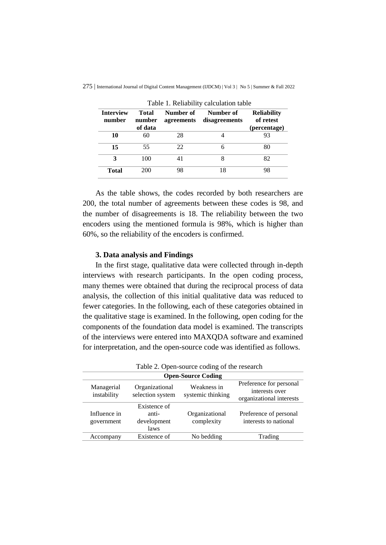| <b>Interview</b><br>number | <b>Total</b><br>Number of<br>number<br>agreements |    | Number of<br>disagreements | <b>Reliability</b><br>of retest |
|----------------------------|---------------------------------------------------|----|----------------------------|---------------------------------|
|                            | of data                                           |    |                            | (percentage)                    |
| 10                         | 60                                                | 28 |                            | 93                              |
| 15                         | 55                                                | 22 | 6                          | 80                              |
| 3                          | 100                                               | 41 | 8                          | 82                              |
| <b>Total</b>               | 200                                               | 98 | 18                         | 98                              |

275 | International Journal of Digital Content Management (IJDCM) | Vol 3 | No 5 | Summer & Fall 2022

Table 1. Reliability calculation table

As the table shows, the codes recorded by both researchers are 200, the total number of agreements between these codes is 98, and the number of disagreements is 18. The reliability between the two encoders using the mentioned formula is 98%, which is higher than 60%, so the reliability of the encoders is confirmed.

#### **3. Data analysis and Findings**

In the first stage, qualitative data were collected through in-depth interviews with research participants. In the open coding process, many themes were obtained that during the reciprocal process of data analysis, the collection of this initial qualitative data was reduced to fewer categories. In the following, each of these categories obtained in the qualitative stage is examined. In the following, open coding for the components of the foundation data model is examined. The transcripts of the interviews were entered into MAXQDA software and examined for interpretation, and the open-source code was identified as follows.

| I able 2. Open-source couing of the research |                                    |                                  |                                                                       |  |
|----------------------------------------------|------------------------------------|----------------------------------|-----------------------------------------------------------------------|--|
|                                              | <b>Open-Source Coding</b>          |                                  |                                                                       |  |
| Managerial<br>instability                    | Organizational<br>selection system | Weakness in<br>systemic thinking | Preference for personal<br>interests over<br>organizational interests |  |
|                                              | Existence of                       |                                  |                                                                       |  |
| Influence in                                 | anti-                              | Organizational                   | Preference of personal                                                |  |
| government                                   | development<br>laws                | complexity                       | interests to national                                                 |  |
| Accompany                                    | Existence of                       | No bedding                       | Trading                                                               |  |
|                                              |                                    |                                  |                                                                       |  |

Table 2. Open-source coding of the research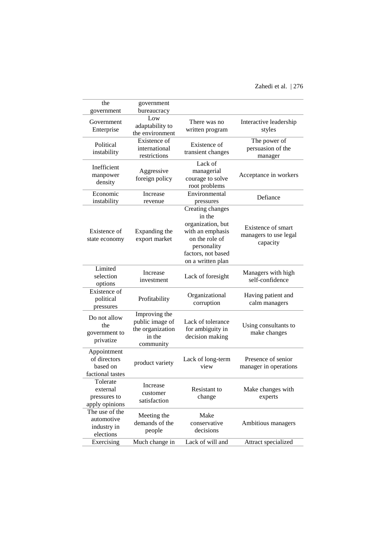| the                                                         | government                                                                  |                                                                                                                                                 |                                                         |
|-------------------------------------------------------------|-----------------------------------------------------------------------------|-------------------------------------------------------------------------------------------------------------------------------------------------|---------------------------------------------------------|
| government<br>Government<br>Enterprise                      | bureaucracy<br>Low<br>adaptability to<br>the environment                    | There was no<br>written program                                                                                                                 | Interactive leadership<br>styles                        |
| Political<br>instability                                    | Existence of<br>international<br>restrictions                               | Existence of<br>transient changes                                                                                                               | The power of<br>persuasion of the<br>manager            |
| Inefficient<br>manpower<br>density                          | Aggressive<br>foreign policy                                                | Lack of<br>managerial<br>courage to solve<br>root problems                                                                                      | Acceptance in workers                                   |
| Economic<br>instability                                     | Increase<br>revenue                                                         | Environmental<br>pressures                                                                                                                      | Defiance                                                |
| Existence of<br>state economy                               | Expanding the<br>export market                                              | Creating changes<br>in the<br>organization, but<br>with an emphasis<br>on the role of<br>personality<br>factors, not based<br>on a written plan | Existence of smart<br>managers to use legal<br>capacity |
| Limited<br>selection<br>options                             | Increase<br>investment                                                      | Lack of foresight                                                                                                                               | Managers with high<br>self-confidence                   |
| Existence of<br>political<br>pressures                      | Profitability                                                               | Organizational<br>corruption                                                                                                                    | Having patient and<br>calm managers                     |
| Do not allow<br>the<br>government to<br>privatize           | Improving the<br>public image of<br>the organization<br>in the<br>community | Lack of tolerance<br>for ambiguity in<br>decision making                                                                                        | Using consultants to<br>make changes                    |
| Appointment<br>of directors<br>based on<br>factional tastes | product variety                                                             | Lack of long-term<br>view                                                                                                                       | Presence of senior<br>manager in operations             |
| Tolerate<br>external<br>pressures to<br>apply opinions      | Increase<br>customer<br>satisfaction                                        | Resistant to<br>change                                                                                                                          | Make changes with<br>experts                            |
| The use of the<br>automotive<br>industry in<br>elections    | Meeting the<br>demands of the<br>people                                     | Make<br>conservative<br>decisions                                                                                                               | Ambitious managers                                      |
| Exercising                                                  | Much change in                                                              | Lack of will and                                                                                                                                | Attract specialized                                     |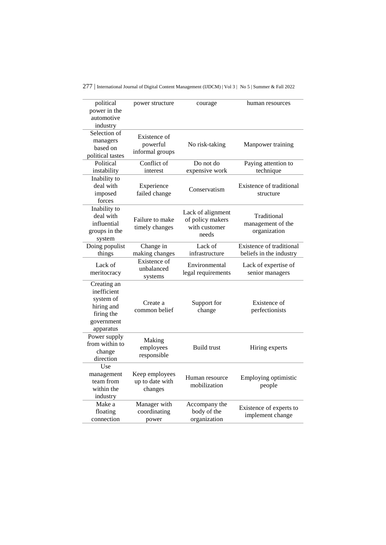| political<br>power in the<br>automotive<br>industry                                            | power structure                              | courage                                                         | human resources                                     |
|------------------------------------------------------------------------------------------------|----------------------------------------------|-----------------------------------------------------------------|-----------------------------------------------------|
| Selection of<br>managers<br>based on<br>political tastes                                       | Existence of<br>powerful<br>informal groups  | No risk-taking                                                  | Manpower training                                   |
| Political                                                                                      | Conflict of                                  | Do not do                                                       | Paying attention to                                 |
| instability                                                                                    | interest                                     | expensive work                                                  | technique                                           |
| Inability to<br>deal with<br>imposed<br>forces                                                 | Experience<br>failed change                  | Conservatism                                                    | Existence of traditional<br>structure               |
| Inability to<br>deal with<br>influential<br>groups in the<br>system                            | Failure to make<br>timely changes            | Lack of alignment<br>of policy makers<br>with customer<br>needs | Traditional<br>management of the<br>organization    |
| Doing populist<br>things                                                                       | Change in<br>making changes                  | Lack of<br>infrastructure                                       | Existence of traditional<br>beliefs in the industry |
| Lack of<br>meritocracy                                                                         | Existence of<br>unbalanced<br>systems        | Environmental<br>legal requirements                             | Lack of expertise of<br>senior managers             |
| Creating an<br>inefficient<br>system of<br>hiring and<br>firing the<br>government<br>apparatus | Create a<br>common belief                    | Support for<br>change                                           | Existence of<br>perfectionists                      |
| Power supply<br>from within to<br>change<br>direction                                          | Making<br>employees<br>responsible           | <b>Build trust</b>                                              | Hiring experts                                      |
| Use<br>management<br>team from<br>within the<br>industry                                       | Keep employees<br>up to date with<br>changes | Human resource<br>mobilization                                  | Employing optimistic<br>people                      |
| Make a<br>floating<br>connection                                                               | Manager with<br>coordinating<br>power        | Accompany the<br>body of the<br>organization                    | Existence of experts to<br>implement change         |

277 | International Journal of Digital Content Management (IJDCM) | Vol 3 | No 5 | Summer & Fall 2022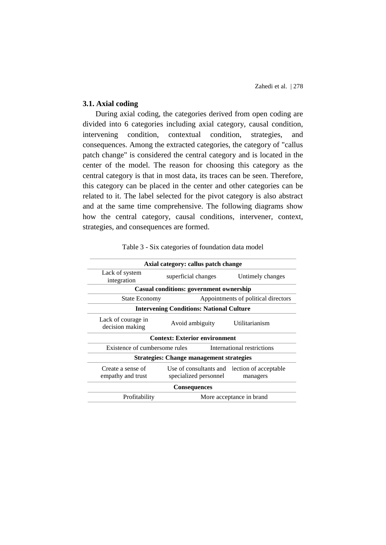# **3.1. Axial coding**

During axial coding, the categories derived from open coding are divided into 6 categories including axial category, causal condition, intervening condition, contextual condition, strategies, and consequences. Among the extracted categories, the category of "callus patch change" is considered the central category and is located in the center of the model. The reason for choosing this category as the central category is that in most data, its traces can be seen. Therefore, this category can be placed in the center and other categories can be related to it. The label selected for the pivot category is also abstract and at the same time comprehensive. The following diagrams show how the central category, causal conditions, intervener, context, strategies, and consequences are formed.

|                                        | Axial category: callus patch change                                   |                  |  |
|----------------------------------------|-----------------------------------------------------------------------|------------------|--|
| Lack of system<br>integration          | superficial changes                                                   | Untimely changes |  |
|                                        | <b>Casual conditions: government ownership</b>                        |                  |  |
| <b>State Economy</b>                   | Appointments of political directors                                   |                  |  |
|                                        | <b>Intervening Conditions: National Culture</b>                       |                  |  |
| Lack of courage in<br>decision making  | Avoid ambiguity                                                       | Utilitarianism   |  |
|                                        | <b>Context: Exterior environment</b>                                  |                  |  |
| Existence of cumbersome rules          | International restrictions                                            |                  |  |
|                                        | <b>Strategies: Change management strategies</b>                       |                  |  |
| Create a sense of<br>empathy and trust | Use of consultants and lection of acceptable<br>specialized personnel | managers         |  |
|                                        | <b>Consequences</b>                                                   |                  |  |
| Profitability                          | More acceptance in brand                                              |                  |  |

Table 3 - Six categories of foundation data model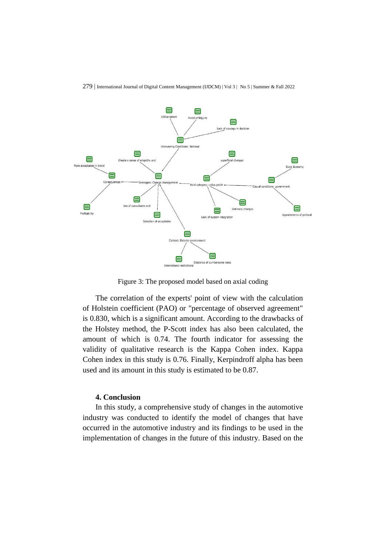

Figure 3: The proposed model based on axial coding

The correlation of the experts' point of view with the calculation of Holstein coefficient (PAO) or "percentage of observed agreement" is 0.830, which is a significant amount. According to the drawbacks of the Holstey method, the P-Scott index has also been calculated, the amount of which is 0.74. The fourth indicator for assessing the validity of qualitative research is the Kappa Cohen index. Kappa Cohen index in this study is 0.76. Finally, Kerpindroff alpha has been used and its amount in this study is estimated to be 0.87.

#### **4. Conclusion**

In this study, a comprehensive study of changes in the automotive industry was conducted to identify the model of changes that have occurred in the automotive industry and its findings to be used in the implementation of changes in the future of this industry. Based on the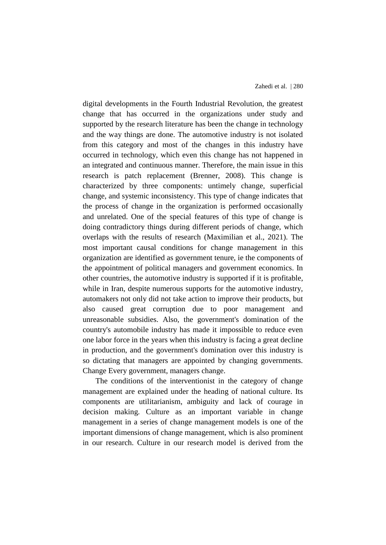digital developments in the Fourth Industrial Revolution, the greatest change that has occurred in the organizations under study and supported by the research literature has been the change in technology and the way things are done. The automotive industry is not isolated from this category and most of the changes in this industry have occurred in technology, which even this change has not happened in an integrated and continuous manner. Therefore, the main issue in this research is patch replacement (Brenner, 2008). This change is characterized by three components: untimely change, superficial change, and systemic inconsistency. This type of change indicates that the process of change in the organization is performed occasionally and unrelated. One of the special features of this type of change is doing contradictory things during different periods of change, which overlaps with the results of research (Maximilian et al., 2021). The most important causal conditions for change management in this organization are identified as government tenure, ie the components of the appointment of political managers and government economics. In other countries, the automotive industry is supported if it is profitable, while in Iran, despite numerous supports for the automotive industry, automakers not only did not take action to improve their products, but also caused great corruption due to poor management and unreasonable subsidies. Also, the government's domination of the country's automobile industry has made it impossible to reduce even one labor force in the years when this industry is facing a great decline in production, and the government's domination over this industry is so dictating that managers are appointed by changing governments. Change Every government, managers change.

The conditions of the interventionist in the category of change management are explained under the heading of national culture. Its components are utilitarianism, ambiguity and lack of courage in decision making. Culture as an important variable in change management in a series of change management models is one of the important dimensions of change management, which is also prominent in our research. Culture in our research model is derived from the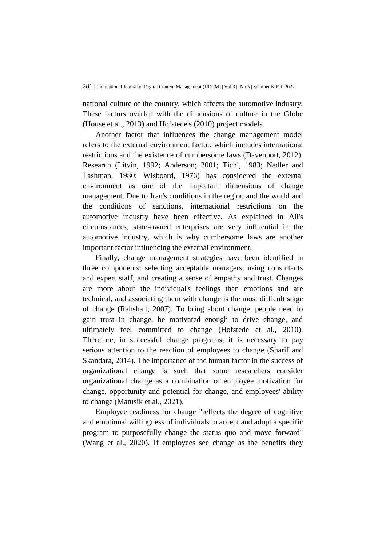national culture of the country, which affects the automotive industry. These factors overlap with the dimensions of culture in the Globe (House et al., 2013) and Hofstede's (2010) project models.

Another factor that influences the change management model refers to the external environment factor, which includes international restrictions and the existence of cumbersome laws (Davenport, 2012). Research (Litvin, 1992; Anderson; 2001; Tichi, 1983; Nadler and Tashman, 1980; Wisboard, 1976) has considered the external environment as one of the important dimensions of change management. Due to Iran's conditions in the region and the world and the conditions of sanctions, international restrictions on the automotive industry have been effective. As explained in Ali's circumstances, state-owned enterprises are very influential in the automotive industry, which is why cumbersome laws are another important factor influencing the external environment.

Finally, change management strategies have been identified in three components: selecting acceptable managers, using consultants and expert staff, and creating a sense of empathy and trust. Changes are more about the individual's feelings than emotions and are technical, and associating them with change is the most difficult stage of change (Rahshalt, 2007). To bring about change, people need to gain trust in change, be motivated enough to drive change, and ultimately feel committed to change (Hofstede et al., 2010). Therefore, in successful change programs, it is necessary to pay serious attention to the reaction of employees to change (Sharif and Skandara, 2014). The importance of the human factor in the success of organizational change is such that some researchers consider organizational change as a combination of employee motivation for change, opportunity and potential for change, and employees' ability to change (Matusik et al., 2021).

Employee readiness for change "reflects the degree of cognitive and emotional willingness of individuals to accept and adopt a specific program to purposefully change the status quo and move forward" (Wang et al., 2020). If employees see change as the benefits they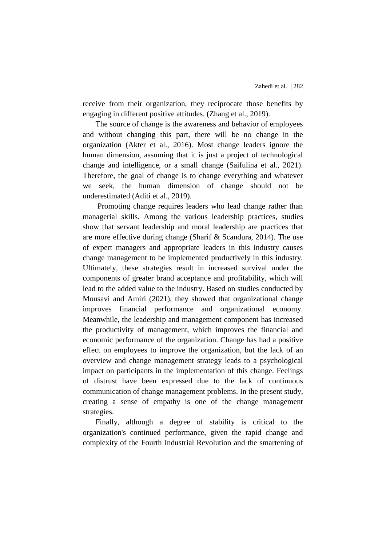receive from their organization, they reciprocate those benefits by engaging in different positive attitudes. (Zhang et al., 2019).

The source of change is the awareness and behavior of employees and without changing this part, there will be no change in the organization (Akter et al., 2016). Most change leaders ignore the human dimension, assuming that it is just a project of technological change and intelligence, or a small change (Saifulina et al., 2021). Therefore, the goal of change is to change everything and whatever we seek, the human dimension of change should not be underestimated (Aditi et al., 2019).

Promoting change requires leaders who lead change rather than managerial skills. Among the various leadership practices, studies show that servant leadership and moral leadership are practices that are more effective during change (Sharif & Scandura, 2014). The use of expert managers and appropriate leaders in this industry causes change management to be implemented productively in this industry. Ultimately, these strategies result in increased survival under the components of greater brand acceptance and profitability, which will lead to the added value to the industry. Based on studies conducted by Mousavi and Amiri (2021), they showed that organizational change improves financial performance and organizational economy. Meanwhile, the leadership and management component has increased the productivity of management, which improves the financial and economic performance of the organization. Change has had a positive effect on employees to improve the organization, but the lack of an overview and change management strategy leads to a psychological impact on participants in the implementation of this change. Feelings of distrust have been expressed due to the lack of continuous communication of change management problems. In the present study, creating a sense of empathy is one of the change management strategies.

Finally, although a degree of stability is critical to the organization's continued performance, given the rapid change and complexity of the Fourth Industrial Revolution and the smartening of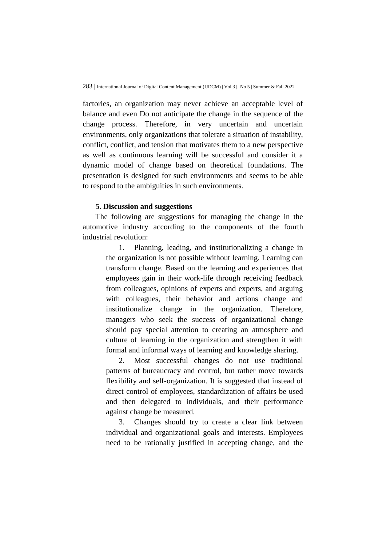factories, an organization may never achieve an acceptable level of balance and even Do not anticipate the change in the sequence of the change process. Therefore, in very uncertain and uncertain environments, only organizations that tolerate a situation of instability, conflict, conflict, and tension that motivates them to a new perspective as well as continuous learning will be successful and consider it a dynamic model of change based on theoretical foundations. The presentation is designed for such environments and seems to be able to respond to the ambiguities in such environments.

#### **5. Discussion and suggestions**

The following are suggestions for managing the change in the automotive industry according to the components of the fourth industrial revolution:

> 1. Planning, leading, and institutionalizing a change in the organization is not possible without learning. Learning can transform change. Based on the learning and experiences that employees gain in their work-life through receiving feedback from colleagues, opinions of experts and experts, and arguing with colleagues, their behavior and actions change and institutionalize change in the organization. Therefore, managers who seek the success of organizational change should pay special attention to creating an atmosphere and culture of learning in the organization and strengthen it with formal and informal ways of learning and knowledge sharing.

> 2. Most successful changes do not use traditional patterns of bureaucracy and control, but rather move towards flexibility and self-organization. It is suggested that instead of direct control of employees, standardization of affairs be used and then delegated to individuals, and their performance against change be measured.

> 3. Changes should try to create a clear link between individual and organizational goals and interests. Employees need to be rationally justified in accepting change, and the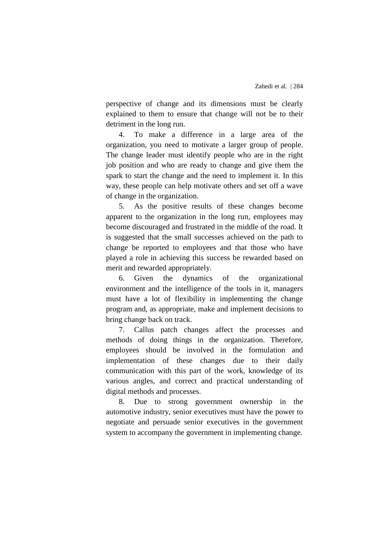perspective of change and its dimensions must be clearly explained to them to ensure that change will not be to their detriment in the long run.

4. To make a difference in a large area of the organization, you need to motivate a larger group of people. The change leader must identify people who are in the right job position and who are ready to change and give them the spark to start the change and the need to implement it. In this way, these people can help motivate others and set off a wave of change in the organization.

5. As the positive results of these changes become apparent to the organization in the long run, employees may become discouraged and frustrated in the middle of the road. It is suggested that the small successes achieved on the path to change be reported to employees and that those who have played a role in achieving this success be rewarded based on merit and rewarded appropriately.

6. Given the dynamics of the organizational environment and the intelligence of the tools in it, managers must have a lot of flexibility in implementing the change program and, as appropriate, make and implement decisions to bring change back on track.

7. Callus patch changes affect the processes and methods of doing things in the organization. Therefore, employees should be involved in the formulation and implementation of these changes due to their daily communication with this part of the work, knowledge of its various angles, and correct and practical understanding of digital methods and processes.

8. Due to strong government ownership in the automotive industry, senior executives must have the power to negotiate and persuade senior executives in the government system to accompany the government in implementing change.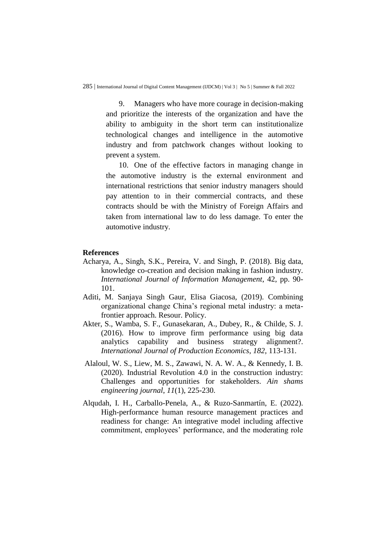9. Managers who have more courage in decision-making and prioritize the interests of the organization and have the ability to ambiguity in the short term can institutionalize technological changes and intelligence in the automotive industry and from patchwork changes without looking to prevent a system.

10. One of the effective factors in managing change in the automotive industry is the external environment and international restrictions that senior industry managers should pay attention to in their commercial contracts, and these contracts should be with the Ministry of Foreign Affairs and taken from international law to do less damage. To enter the automotive industry.

## **References**

- Acharya, A., Singh, S.K., Pereira, V. and Singh, P. (2018). Big data, knowledge co-creation and decision making in fashion industry. *International Journal of Information Management*, 42, pp. 90- 101.
- Aditi, M. Sanjaya Singh Gaur, Elisa Giacosa, (2019). Combining organizational change China's regional metal industry: a metafrontier approach. Resour. Policy.
- Akter, S., Wamba, S. F., Gunasekaran, A., Dubey, R., & Childe, S. J. (2016). How to improve firm performance using big data analytics capability and business strategy alignment?. *International Journal of Production Economics*, *182*, 113-131.
- Alaloul, W. S., Liew, M. S., Zawawi, N. A. W. A., & Kennedy, I. B. (2020). Industrial Revolution 4.0 in the construction industry: Challenges and opportunities for stakeholders. *Ain shams engineering journal*, *11*(1), 225-230.
- Alqudah, I. H., Carballo-Penela, A., & Ruzo-Sanmartín, E. (2022). High-performance human resource management practices and readiness for change: An integrative model including affective commitment, employees' performance, and the moderating role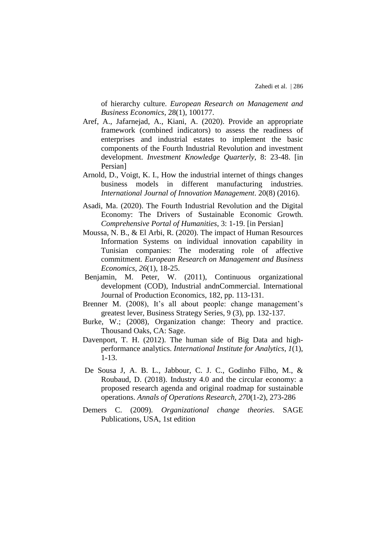of hierarchy culture. *European Research on Management and Business Economics*, 28(1), 100177.

- Aref, A., Jafarnejad, A., Kiani, A. (2020). Provide an appropriate framework (combined indicators) to assess the readiness of enterprises and industrial estates to implement the basic components of the Fourth Industrial Revolution and investment development. *Investment Knowledge Quarterly*, 8: 23-48. [in Persian]
- Arnold, D., Voigt, K. I., How the industrial internet of things changes business models in different manufacturing industries. *International Journal of Innovation Management*. 20(8) (2016).
- Asadi, Ma. (2020). The Fourth Industrial Revolution and the Digital Economy: The Drivers of Sustainable Economic Growth. *Comprehensive Portal of Humanities*, 3: 1-19. [in Persian]
- Moussa, N. B., & El Arbi, R. (2020). The impact of Human Resources Information Systems on individual innovation capability in Tunisian companies: The moderating role of affective commitment. *European Research on Management and Business Economics*, *26*(1), 18-25.
- Benjamin, M. Peter, W. (2011), Continuous organizational development (COD), Industrial andnCommercial. International Journal of Production Economics, 182, pp. 113-131.
- Brenner M. (2008), It's all about people: change management's greatest lever, Business Strategy Series, 9 (3), pp. 132-137.
- Burke, W.; (2008), Organization change: Theory and practice. Thousand Oaks, CA: Sage.
- Davenport, T. H. (2012). The human side of Big Data and highperformance analytics. *International Institute for Analytics*, *1*(1), 1-13.
- De Sousa J, A. B. L., Jabbour, C. J. C., Godinho Filho, M., & Roubaud, D. (2018). Industry 4.0 and the circular economy: a proposed research agenda and original roadmap for sustainable operations. *Annals of Operations Research*, *270*(1-2), 273-286
- Demers C. (2009). *Organizational change theories*. SAGE Publications, USA, 1st edition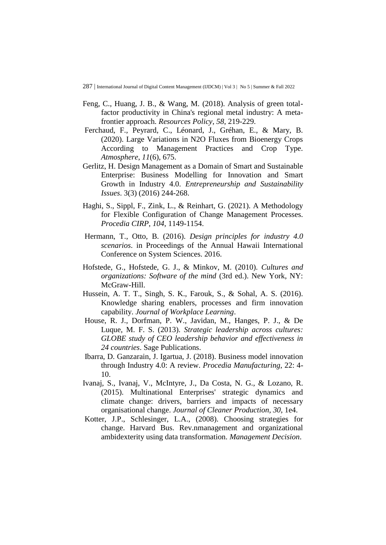- Feng, C., Huang, J. B., & Wang, M. (2018). Analysis of green totalfactor productivity in China's regional metal industry: A metafrontier approach. *Resources Policy*, *58*, 219-229.
- Ferchaud, F., Peyrard, C., Léonard, J., Gréhan, E., & Mary, B. (2020). Large Variations in N2O Fluxes from Bioenergy Crops According to Management Practices and Crop Type. *Atmosphere*, *11*(6), 675.
- Gerlitz, H. Design Management as a Domain of Smart and Sustainable Enterprise: Business Modelling for Innovation and Smart Growth in Industry 4.0. *Entrepreneurship and Sustainability Issues*. 3(3) (2016) 244-268.
- Haghi, S., Sippl, F., Zink, L., & Reinhart, G. (2021). A Methodology for Flexible Configuration of Change Management Processes. *Procedia CIRP*, *104*, 1149-1154.
- Hermann, T., Otto, B. (2016). *Design principles for industry 4.0 scenarios*. in Proceedings of the Annual Hawaii International Conference on System Sciences. 2016.
- Hofstede, G., Hofstede, G. J., & Minkov, M. (2010). *Cultures and organizations: Software of the mind* (3rd ed.). New York, NY: McGraw-Hill.
- Hussein, A. T. T., Singh, S. K., Farouk, S., & Sohal, A. S. (2016). Knowledge sharing enablers, processes and firm innovation capability. *Journal of Workplace Learning*.
- House, R. J., Dorfman, P. W., Javidan, M., Hanges, P. J., & De Luque, M. F. S. (2013). *Strategic leadership across cultures: GLOBE study of CEO leadership behavior and effectiveness in 24 countries*. Sage Publications.
- Ibarra, D. Ganzarain, J. Igartua, J. (2018). Business model innovation through Industry 4.0: A review. *Procedia Manufacturing*, 22: 4- 10.
- Ivanaj, S., Ivanaj, V., McIntyre, J., Da Costa, N. G., & Lozano, R. (2015). Multinational Enterprises' strategic dynamics and climate change: drivers, barriers and impacts of necessary organisational change. *Journal of Cleaner Production*, *30*, 1e4.
- Kotter, J.P., Schlesinger, L.A., (2008). Choosing strategies for change. Harvard Bus. Rev.nmanagement and organizational ambidexterity using data transformation. *Management Decision*.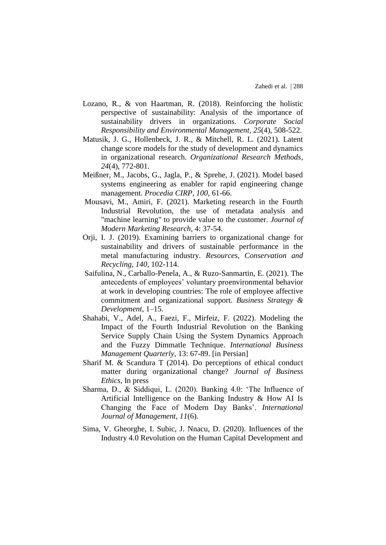- Lozano, R., & von Haartman, R. (2018). Reinforcing the holistic perspective of sustainability: Analysis of the importance of sustainability drivers in organizations. *Corporate Social Responsibility and Environmental Management*, *25*(4), 508-522.
- Matusik, J. G., Hollenbeck, J. R., & Mitchell, R. L. (2021). Latent change score models for the study of development and dynamics in organizational research. *Organizational Research Methods*, *24*(4), 772-801.
- Meißner, M., Jacobs, G., Jagla, P., & Sprehe, J. (2021). Model based systems engineering as enabler for rapid engineering change management. *Procedia CIRP*, *100*, 61-66.
- Mousavi, M., Amiri, F. (2021). Marketing research in the Fourth Industrial Revolution, the use of metadata analysis and "machine learning" to provide value to the customer. *Journal of Modern Marketing Research*, 4: 37-54.
- Orji, I. J. (2019). Examining barriers to organizational change for sustainability and drivers of sustainable performance in the metal manufacturing industry. *Resources, Conservation and Recycling*, *140*, 102-114.
- Saifulina, N., Carballo-Penela, A., & Ruzo-Sanmartin, E. (2021). The antecedents of employees' voluntary proenvironmental behavior at work in developing countries: The role of employee affective commitment and organizational support. *Business Strategy & Development*, 1–15.
- Shahabi, V., Adel, A., Faezi, F., Mirfeiz, F. (2022). Modeling the Impact of the Fourth Industrial Revolution on the Banking Service Supply Chain Using the System Dynamics Approach and the Fuzzy Dimmatle Technique. *International Business Management Quarterly,* 13: 67-89. [in Persian]
- Sharif M. & Scandura T (2014). Do perceptions of ethical conduct matter during organizational change? *Journal of Business Ethics*, In press
- Sharma, D., & Siddiqui, L. (2020). Banking 4.0: 'The Influence of Artificial Intelligence on the Banking Industry & How AI Is Changing the Face of Modern Day Banks'. *International Journal of Management*, *11*(6).
- Sima, V. Gheorghe, I. Subic, J. Nnacu, D. (2020). Influences of the Industry 4.0 Revolution on the Human Capital Development and